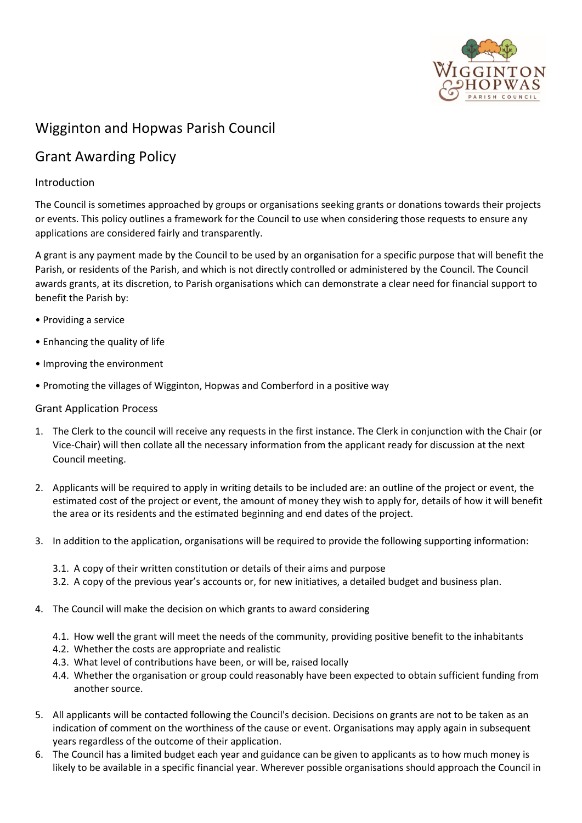

## Wigginton and Hopwas Parish Council

# Grant Awarding Policy

### Introduction

The Council is sometimes approached by groups or organisations seeking grants or donations towards their projects or events. This policy outlines a framework for the Council to use when considering those requests to ensure any applications are considered fairly and transparently.

A grant is any payment made by the Council to be used by an organisation for a specific purpose that will benefit the Parish, or residents of the Parish, and which is not directly controlled or administered by the Council. The Council awards grants, at its discretion, to Parish organisations which can demonstrate a clear need for financial support to benefit the Parish by:

- Providing a service
- Enhancing the quality of life
- Improving the environment
- Promoting the villages of Wigginton, Hopwas and Comberford in a positive way

#### Grant Application Process

- 1. The Clerk to the council will receive any requests in the first instance. The Clerk in conjunction with the Chair (or Vice-Chair) will then collate all the necessary information from the applicant ready for discussion at the next Council meeting.
- 2. Applicants will be required to apply in writing details to be included are: an outline of the project or event, the estimated cost of the project or event, the amount of money they wish to apply for, details of how it will benefit the area or its residents and the estimated beginning and end dates of the project.
- 3. In addition to the application, organisations will be required to provide the following supporting information:
	- 3.1. A copy of their written constitution or details of their aims and purpose
	- 3.2. A copy of the previous year's accounts or, for new initiatives, a detailed budget and business plan.
- 4. The Council will make the decision on which grants to award considering
	- 4.1. How well the grant will meet the needs of the community, providing positive benefit to the inhabitants
	- 4.2. Whether the costs are appropriate and realistic
	- 4.3. What level of contributions have been, or will be, raised locally
	- 4.4. Whether the organisation or group could reasonably have been expected to obtain sufficient funding from another source.
- 5. All applicants will be contacted following the Council's decision. Decisions on grants are not to be taken as an indication of comment on the worthiness of the cause or event. Organisations may apply again in subsequent years regardless of the outcome of their application.
- 6. The Council has a limited budget each year and guidance can be given to applicants as to how much money is likely to be available in a specific financial year. Wherever possible organisations should approach the Council in